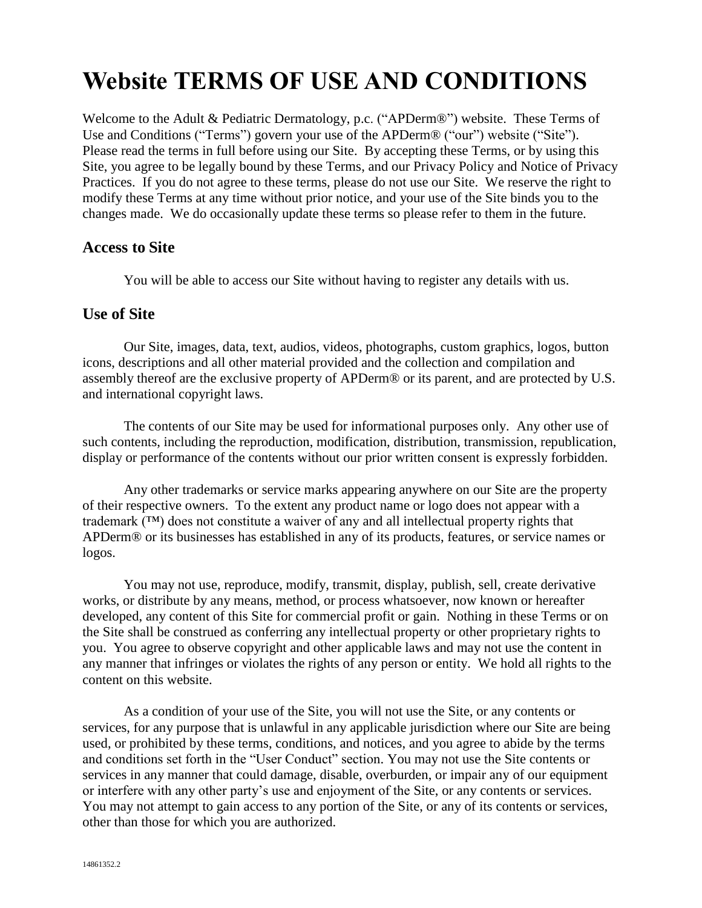# **Website TERMS OF USE AND CONDITIONS**

Welcome to the Adult & Pediatric Dermatology, p.c. ("APDerm®") website. These Terms of Use and Conditions ("Terms") govern your use of the APDerm® ("our") website ("Site"). Please read the terms in full before using our Site. By accepting these Terms, or by using this Site, you agree to be legally bound by these Terms, and our Privacy Policy and Notice of Privacy Practices. If you do not agree to these terms, please do not use our Site. We reserve the right to modify these Terms at any time without prior notice, and your use of the Site binds you to the changes made. We do occasionally update these terms so please refer to them in the future.

#### **Access to Site**

You will be able to access our Site without having to register any details with us.

#### **Use of Site**

Our Site, images, data, text, audios, videos, photographs, custom graphics, logos, button icons, descriptions and all other material provided and the collection and compilation and assembly thereof are the exclusive property of APDerm® or its parent, and are protected by U.S. and international copyright laws.

The contents of our Site may be used for informational purposes only. Any other use of such contents, including the reproduction, modification, distribution, transmission, republication, display or performance of the contents without our prior written consent is expressly forbidden.

Any other trademarks or service marks appearing anywhere on our Site are the property of their respective owners. To the extent any product name or logo does not appear with a trademark (™) does not constitute a waiver of any and all intellectual property rights that APDerm® or its businesses has established in any of its products, features, or service names or logos.

You may not use, reproduce, modify, transmit, display, publish, sell, create derivative works, or distribute by any means, method, or process whatsoever, now known or hereafter developed, any content of this Site for commercial profit or gain. Nothing in these Terms or on the Site shall be construed as conferring any intellectual property or other proprietary rights to you. You agree to observe copyright and other applicable laws and may not use the content in any manner that infringes or violates the rights of any person or entity. We hold all rights to the content on this website.

As a condition of your use of the Site, you will not use the Site, or any contents or services, for any purpose that is unlawful in any applicable jurisdiction where our Site are being used, or prohibited by these terms, conditions, and notices, and you agree to abide by the terms and conditions set forth in the "User Conduct" section. You may not use the Site contents or services in any manner that could damage, disable, overburden, or impair any of our equipment or interfere with any other party's use and enjoyment of the Site, or any contents or services. You may not attempt to gain access to any portion of the Site, or any of its contents or services, other than those for which you are authorized.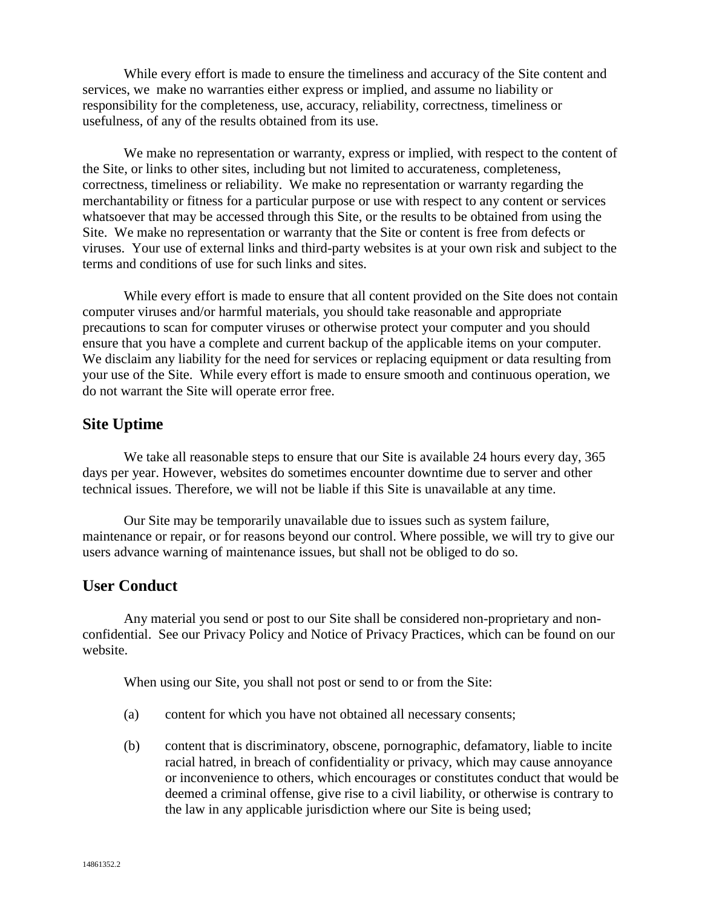While every effort is made to ensure the timeliness and accuracy of the Site content and services, we make no warranties either express or implied, and assume no liability or responsibility for the completeness, use, accuracy, reliability, correctness, timeliness or usefulness, of any of the results obtained from its use.

We make no representation or warranty, express or implied, with respect to the content of the Site, or links to other sites, including but not limited to accurateness, completeness, correctness, timeliness or reliability. We make no representation or warranty regarding the merchantability or fitness for a particular purpose or use with respect to any content or services whatsoever that may be accessed through this Site, or the results to be obtained from using the Site. We make no representation or warranty that the Site or content is free from defects or viruses. Your use of external links and third-party websites is at your own risk and subject to the terms and conditions of use for such links and sites.

While every effort is made to ensure that all content provided on the Site does not contain computer viruses and/or harmful materials, you should take reasonable and appropriate precautions to scan for computer viruses or otherwise protect your computer and you should ensure that you have a complete and current backup of the applicable items on your computer. We disclaim any liability for the need for services or replacing equipment or data resulting from your use of the Site. While every effort is made to ensure smooth and continuous operation, we do not warrant the Site will operate error free.

## **Site Uptime**

We take all reasonable steps to ensure that our Site is available 24 hours every day, 365 days per year. However, websites do sometimes encounter downtime due to server and other technical issues. Therefore, we will not be liable if this Site is unavailable at any time.

Our Site may be temporarily unavailable due to issues such as system failure, maintenance or repair, or for reasons beyond our control. Where possible, we will try to give our users advance warning of maintenance issues, but shall not be obliged to do so.

## **User Conduct**

Any material you send or post to our Site shall be considered non-proprietary and nonconfidential. See our Privacy Policy and Notice of Privacy Practices, which can be found on our website.

When using our Site, you shall not post or send to or from the Site:

- (a) content for which you have not obtained all necessary consents;
- (b) content that is discriminatory, obscene, pornographic, defamatory, liable to incite racial hatred, in breach of confidentiality or privacy, which may cause annoyance or inconvenience to others, which encourages or constitutes conduct that would be deemed a criminal offense, give rise to a civil liability, or otherwise is contrary to the law in any applicable jurisdiction where our Site is being used;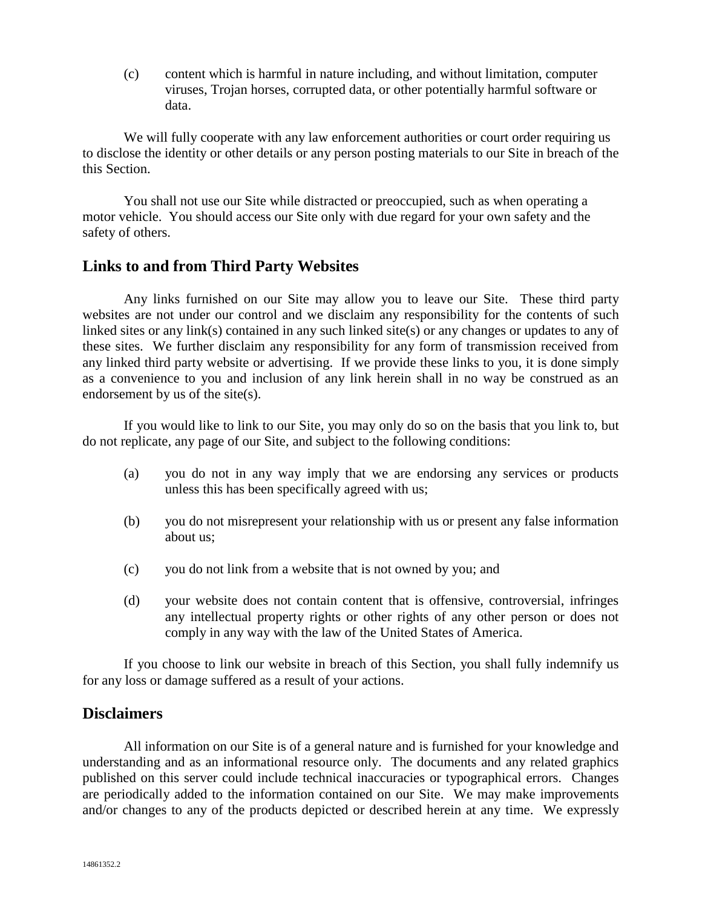(c) content which is harmful in nature including, and without limitation, computer viruses, Trojan horses, corrupted data, or other potentially harmful software or data.

We will fully cooperate with any law enforcement authorities or court order requiring us to disclose the identity or other details or any person posting materials to our Site in breach of the this Section.

You shall not use our Site while distracted or preoccupied, such as when operating a motor vehicle. You should access our Site only with due regard for your own safety and the safety of others.

## **Links to and from Third Party Websites**

Any links furnished on our Site may allow you to leave our Site. These third party websites are not under our control and we disclaim any responsibility for the contents of such linked sites or any link(s) contained in any such linked site(s) or any changes or updates to any of these sites. We further disclaim any responsibility for any form of transmission received from any linked third party website or advertising. If we provide these links to you, it is done simply as a convenience to you and inclusion of any link herein shall in no way be construed as an endorsement by us of the site(s).

If you would like to link to our Site, you may only do so on the basis that you link to, but do not replicate, any page of our Site, and subject to the following conditions:

- (a) you do not in any way imply that we are endorsing any services or products unless this has been specifically agreed with us;
- (b) you do not misrepresent your relationship with us or present any false information about us;
- (c) you do not link from a website that is not owned by you; and
- (d) your website does not contain content that is offensive, controversial, infringes any intellectual property rights or other rights of any other person or does not comply in any way with the law of the United States of America.

If you choose to link our website in breach of this Section, you shall fully indemnify us for any loss or damage suffered as a result of your actions.

#### **Disclaimers**

All information on our Site is of a general nature and is furnished for your knowledge and understanding and as an informational resource only. The documents and any related graphics published on this server could include technical inaccuracies or typographical errors. Changes are periodically added to the information contained on our Site. We may make improvements and/or changes to any of the products depicted or described herein at any time. We expressly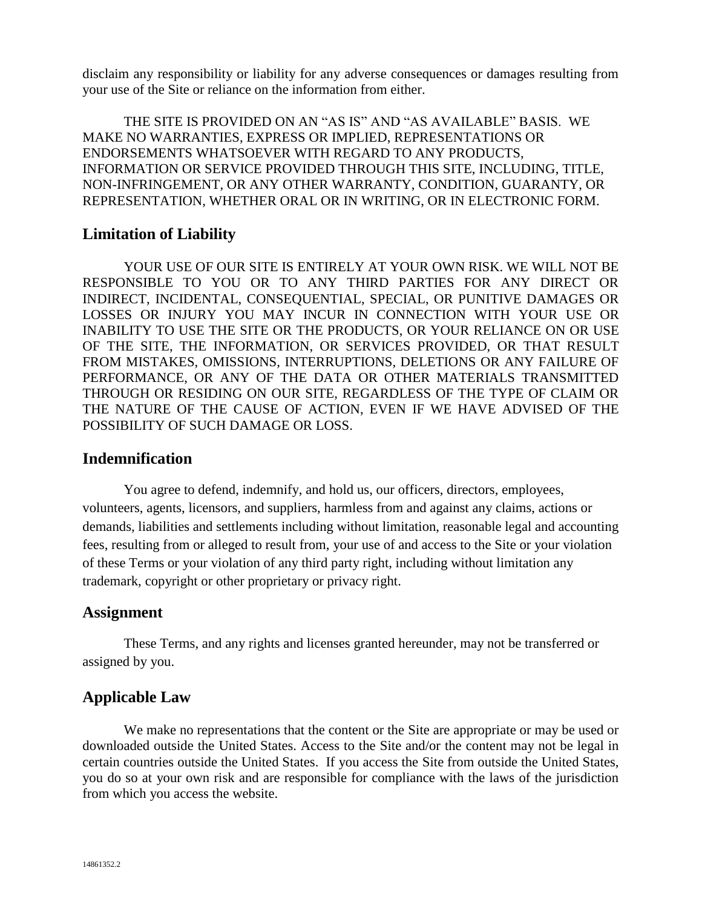disclaim any responsibility or liability for any adverse consequences or damages resulting from your use of the Site or reliance on the information from either.

THE SITE IS PROVIDED ON AN "AS IS" AND "AS AVAILABLE" BASIS. WE MAKE NO WARRANTIES, EXPRESS OR IMPLIED, REPRESENTATIONS OR ENDORSEMENTS WHATSOEVER WITH REGARD TO ANY PRODUCTS, INFORMATION OR SERVICE PROVIDED THROUGH THIS SITE, INCLUDING, TITLE, NON-INFRINGEMENT, OR ANY OTHER WARRANTY, CONDITION, GUARANTY, OR REPRESENTATION, WHETHER ORAL OR IN WRITING, OR IN ELECTRONIC FORM.

#### **Limitation of Liability**

YOUR USE OF OUR SITE IS ENTIRELY AT YOUR OWN RISK. WE WILL NOT BE RESPONSIBLE TO YOU OR TO ANY THIRD PARTIES FOR ANY DIRECT OR INDIRECT, INCIDENTAL, CONSEQUENTIAL, SPECIAL, OR PUNITIVE DAMAGES OR LOSSES OR INJURY YOU MAY INCUR IN CONNECTION WITH YOUR USE OR INABILITY TO USE THE SITE OR THE PRODUCTS, OR YOUR RELIANCE ON OR USE OF THE SITE, THE INFORMATION, OR SERVICES PROVIDED, OR THAT RESULT FROM MISTAKES, OMISSIONS, INTERRUPTIONS, DELETIONS OR ANY FAILURE OF PERFORMANCE, OR ANY OF THE DATA OR OTHER MATERIALS TRANSMITTED THROUGH OR RESIDING ON OUR SITE, REGARDLESS OF THE TYPE OF CLAIM OR THE NATURE OF THE CAUSE OF ACTION, EVEN IF WE HAVE ADVISED OF THE POSSIBILITY OF SUCH DAMAGE OR LOSS.

#### **Indemnification**

You agree to defend, indemnify, and hold us, our officers, directors, employees, volunteers, agents, licensors, and suppliers, harmless from and against any claims, actions or demands, liabilities and settlements including without limitation, reasonable legal and accounting fees, resulting from or alleged to result from, your use of and access to the Site or your violation of these Terms or your violation of any third party right, including without limitation any trademark, copyright or other proprietary or privacy right.

#### **Assignment**

These Terms, and any rights and licenses granted hereunder, may not be transferred or assigned by you.

## **Applicable Law**

We make no representations that the content or the Site are appropriate or may be used or downloaded outside the United States. Access to the Site and/or the content may not be legal in certain countries outside the United States. If you access the Site from outside the United States, you do so at your own risk and are responsible for compliance with the laws of the jurisdiction from which you access the website.